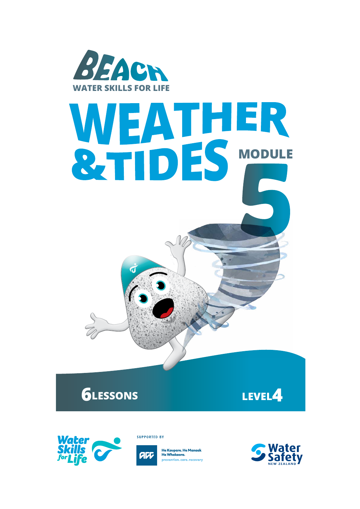

# **5 MODULE**

**6LESSONS LEVEL4**



**SUPPORTED BY** 



He Kaupare. He Manaak He Whakaora. prevention. care. recovery

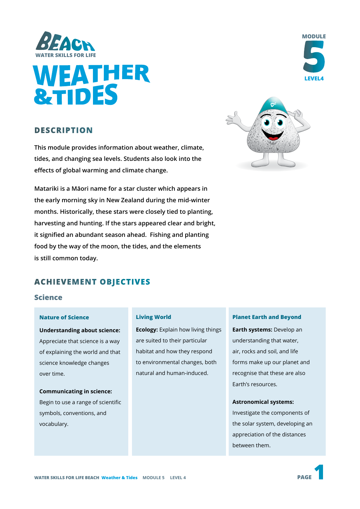



#### **DESCRIPTION**

**This module provides information about weather, climate, tides, and changing sea levels. Students also look into the effects of global warming and climate change.**

**Matariki is a Māori name for a star cluster which appears in the early morning sky in New Zealand during the mid-winter months. Historically, these stars were closely tied to planting, harvesting and hunting. If the stars appeared clear and bright, it signified an abundant season ahead. Fishing and planting food by the way of the moon, the tides, and the elements is still common today.**



**MODULE**

#### **ACHIEVEMENT OBJECTIVES**

#### **Science**

#### **Nature of Science**

**Understanding about science:**  Appreciate that science is a way of explaining the world and that science knowledge changes over time.

#### **Communicating in science:**  Begin to use a range of scientific

symbols, conventions, and vocabulary.

#### **Living World**

**Ecology:** Explain how living things are suited to their particular habitat and how they respond to environmental changes, both natural and human-induced.

#### **Planet Earth and Beyond**

**Earth systems:** Develop an understanding that water, air, rocks and soil, and life forms make up our planet and recognise that these are also Earth's resources.

#### **Astronomical systems:**

Investigate the components of the solar system, developing an appreciation of the distances between them.

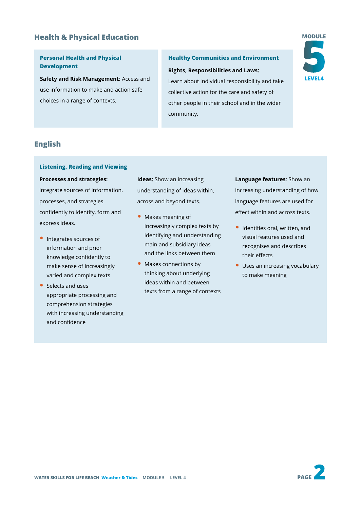#### **Health & Physical Education**

#### **Personal Health and Physical Development**

**Safety and Risk Management:** Access and use information to make and action safe choices in a range of contexts.

#### **Healthy Communities and Environment**

**Rights, Responsibilities and Laws:**

Learn about individual responsibility and take collective action for the care and safety of other people in their school and in the wider community.



#### **English**

#### **Listening, Reading and Viewing**

#### **Processes and strategies:**

Integrate sources of information, processes, and strategies confidently to identify, form and express ideas.

- Integrates sources of information and prior knowledge confidently to make sense of increasingly varied and complex texts
- Selects and uses appropriate processing and comprehension strategies with increasing understanding and confidence

**Ideas:** Show an increasing understanding of ideas within, across and beyond texts.

- Makes meaning of increasingly complex texts by identifying and understanding main and subsidiary ideas and the links between them
- Makes connections by thinking about underlying ideas within and between texts from a range of contexts

**Language features**: Show an increasing understanding of how language features are used for effect within and across texts.

- Identifies oral, written, and visual features used and recognises and describes their effects
- Uses an increasing vocabulary to make meaning

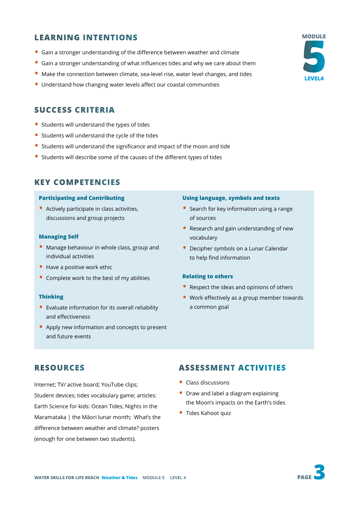#### **LEARNING INTENTIONS**

- Gain a stronger understanding of the difference between weather and climate
- Gain a stronger understanding of what influences tides and why we care about them
- Make the connection between climate, sea-level rise, water level changes, and tides
- Understand how changing water levels affect our coastal communities

#### **SUCCESS CRITERIA**

- Students will understand the types of tides
- Students will understand the cycle of the tides
- Students will understand the significance and impact of the moon and tide
- Students will describe some of the causes of the different types of tides

#### **KEY COMPETENCIES**

#### **Participating and Contributing**

• Actively participate in class activities, discussions and group projects

#### **Managing Self**

- Manage behaviour in whole class, group and individual activities
- Have a positive work ethic
- Complete work to the best of my abilities

#### **Thinking**

- Evaluate information for its overall reliability and effectiveness
- Apply new information and concepts to present and future events

#### **Using language, symbols and texts**

- Search for key information using a range of sources
- Research and gain understanding of new vocabulary
- Decipher symbols on a Lunar Calendar to help find information

#### **Relating to others**

- Respect the ideas and opinions of others
- Work effectively as a group member towards a common goal

#### **RESOURCES**

Internet; TV/ active board; YouTube clips; Student devices; tides vocabulary game; articles: Earth Science for kids: Ocean Tides, Nights in the Maramataka | the Māori lunar month; What's the difference between weather and climate? posters (enough for one between two students).

#### **ASSESSMENT ACTIVITIES**

- Class discussions
- Draw and label a diagram explaining the Moon's impacts on the Earth's tides
- Tides Kahoot quiz

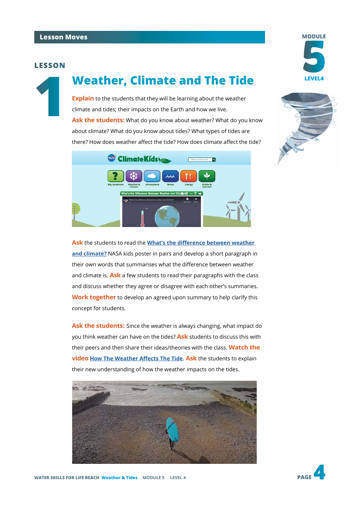#### **LESSON**

**1**

## **Weather, Climate and The Tide LEVEL4**

**Explain** to the students that they will be learning about the weather climate and tides; their impacts on the Earth and how we live. **Ask the students:** What do you know about weather? What do you know about climate? What do you know about tides? What types of tides are there? How does weather affect the tide? How does climate affect the tide?





**MODULE**

**Ask** the students to read the **[What's the difference between weather](https://climatekids.nasa.gov/weather-climate/)  [and climate?](https://climatekids.nasa.gov/weather-climate/)** NASA kids poster in pairs and develop a short paragraph in their own words that summarises what the difference between weather and climate is. **Ask** a few students to read their paragraphs with the class and discuss whether they agree or disagree with each other's summaries. **Work together** to develop an agreed upon summary to help clarify this concept for students.

**Ask the students:** Since the weather is always changing, what impact do you think weather can have on the tides? **Ask** students to discuss this with their peers and then share their ideas/theories with the class. **Watch the video [How The Weather Affects The Tide](https://www.youtube.com/watch?v=Fcqp01fjf8Y)**. **Ask** the students to explain their new understanding of how the weather impacts on the tides.





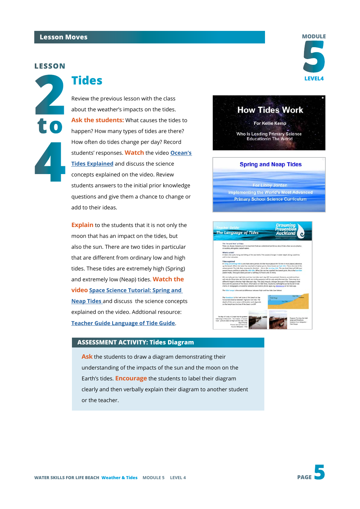#### **Lesson Moves**

#### **LESSON**

**2 to 4**

### **LEVEL4 Tides**

Review the previous lesson with the class about the weather's impacts on the tides. **Ask the students:** What causes the tides to happen? How many types of tides are there? How often do tides change per day? Record students' responses. **Watch** the video **[Ocean's](https://www.youtube.com/watch?v=3RdkXs8BibE)  [Tides Explained](https://www.youtube.com/watch?v=3RdkXs8BibE)** and discuss the science concepts explained on the video. Review students answers to the initial prior knowledge questions and give them a chance to change or add to their ideas.

**Explain** to the students that it is not only the moon that has an impact on the tides, but also the sun. There are two tides in particular that are different from ordinary low and high tides. These tides are extremely high (Spring) and extremely low (Neap) tides. **Watch the video [Space Science Tutorial: Spring and](https://www.youtube.com/watch?v=HdI_PyMFNro)  [Neap Tides](https://www.youtube.com/watch?v=HdI_PyMFNro)** and discuss the science concepts explained on the video. Addtional resource: **[Teacher Guide Language of Tide Guide](https://www.dpanz.org.nz/wp-content/uploads/2020/09/Teacher-Guide-Language-of-Tides-Guide.pdf)**.

#### **ASSESSMENT ACTIVITY: Tides Diagram**

**Ask** the students to draw a diagram demonstrating their understanding of the impacts of the sun and the moon on the Earth's tides. **Encourage** the students to label their diagram clearly and then verbally explain their diagram to another student or the teacher.

# **5 MODULE**



#### For Libby Jordan **Implementing the World's Most Advanced Primary School Science Curriculum**

**The Language of Tides**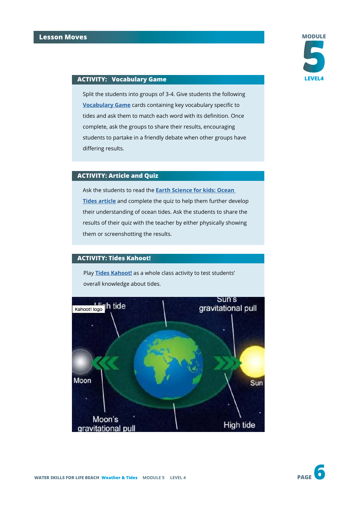

#### **ACTIVITY: Vocabulary Game LEVEL4**

Split the students into groups of 3-4. Give students the following **[Vocabulary Game](https://docs.google.com/document/d/e/2PACX-1vSr6WPVOADCmp8KKMQaHbP-i_ur98QrpxiwsxQ2d6UYMMo5wUcTfBTxsWYYe00Xco02FFY3xagb8EQN/pub)** cards containing key vocabulary specific to tides and ask them to match each word with its definition. Once complete, ask the groups to share their results, encouraging students to partake in a friendly debate when other groups have differing results.

#### **ACTIVITY: Article and Quiz**

Ask the students to read the **[Earth Science for kids: Ocean](https://www.ducksters.com/science/earth_science/ocean_tides.php)  [Tides article](https://www.ducksters.com/science/earth_science/ocean_tides.php)** and complete the quiz to help them further develop their understanding of ocean tides. Ask the students to share the results of their quiz with the teacher by either physically showing them or screenshotting the results.

#### **ACTIVITY: Tides Kahoot!**

Play **[Tides Kahoot!](https://create.kahoot.it/share/tides/67f18131-7a17-475c-9fd4-8547550b4bef)** as a whole class activity to test students' overall knowledge about tides.

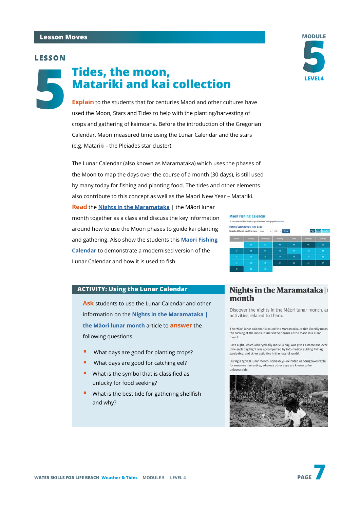#### **Lesson Moves**

#### **LESSON**

**5**

## **Tides, the moon, Matariki and kai collection**

**Explain** to the students that for centuries Maori and other cultures have used the Moon, Stars and Tides to help with the planting/harvesting of crops and gathering of kaimoana. Before the introduction of the Gregorian Calendar, Maori measured time using the Lunar Calendar and the stars (e.g. Matariki - the Pleiades star cluster).

The Lunar Calendar (also known as Maramataka) which uses the phases of the Moon to map the days over the course of a month (30 days), is still used by many today for fishing and planting food. The tides and other elements also contribute to this concept as well as the Maori New Year – Matariki.

**Read** the **[Nights in the Maramataka](https://www.tepapa.govt.nz/discover-collections/read-watch-play/maori/matariki-maori-new-year/nights-maramataka-maori-lunar)** | the Māori lunar month together as a class and discuss the key information around how to use the Moon phases to guide kai planting and gathering. Also show the students this **[Maori Fishing](http://Maori Fishing Calendar)  [Calendar](http://Maori Fishing Calendar)** to demonstrate a modernised version of the Lunar Calendar and how it is used to fish.

#### **ACTIVITY: Using the Lunar Calendar**

**Ask** students to use the Lunar Calendar and other information on the **[Nights in the Maramataka |](https://www.tepapa.govt.nz/discover-collections/read-watch-play/maori/matariki-maori-new-year/nights-maramataka-maori-lunar)  [the Māori lunar month](https://www.tepapa.govt.nz/discover-collections/read-watch-play/maori/matariki-maori-new-year/nights-maramataka-maori-lunar)** article to **answer** the following questions.

- What days are good for planting crops?
- What days are good for catching eel?
- What is the symbol that is classified as unlucky for food seeking?
- What is the best tide for gathering shellfish and why?

# **Maori Fishing Calendar** To calculate the Bite Times for your favourit Fishing Calendar for: June 2021

#### Nights in the Maramataka |1 month

Discover the nights in the Māori lunar month, ar activities related to them.

The Mäori lunar calendar is called the Maramataka, which literally means the turning of the moon. It marks the phases of the moon in a lunar month.

Each night, which also typically marks a day, was given a name and over time each day/night was accompanied by information guiding fishing, gardening, and other activities in the natural world.

During a typical lunar month, some days are noted as being favourable for resource harvesting, whereas other days are known to be unformurable